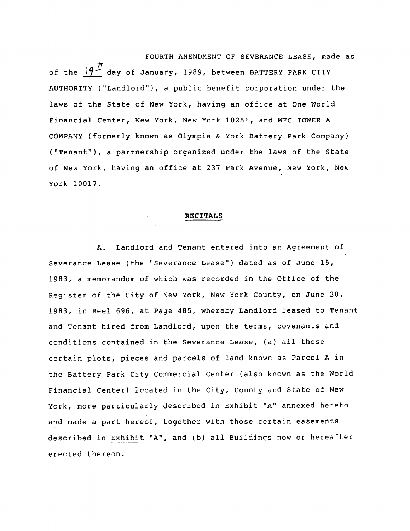FOURTH AMENDMENT OF SEVERANCE LEASE, made as of the  $19\frac{\pi}{4}$  day of January, 1989, between BATTERY PARK CITY AUTHORITY ("Landlord"), a public benefit corporation under the laws of the State of New York, having an office at One World Financial Center, New York, New York 10281, and WFC TOWER A COMPANY (formerly known as Olympia & York Battery Park Company) ("Tenant"), a partnership organized under the laws of the State of New York, having an office at 237 Park Avenue, New York, New York 10017.

## **RECITALS**

A. Landlord and Tenant entered into an Agreement of Severance Lease (the "Severance Lease") dated as of June 15, 1983, a memorandum of which was recorded in the Office of the Register of the City of New York, New York County, on June 20, 1983, in Reel 696, at Page 485, whereby Landlord leased to Tenant and Tenant hired from Landlord, upon the terms, covenants and conditions contained in the Severance Lease, (a) all those certain plots, pieces and parcels of land known as Parcel A in the Battery Park City Commercial Center (also known as the World Financial Center) located in the City, County and State of New York, more particularly described in Exhibit "A" annexed hereto and made a part hereof, together with those certain easements described in Exhibit "A", and (b) all Buildings now or hereafter erected thereon.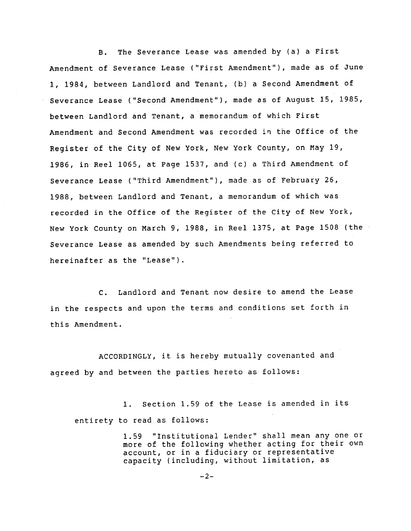B. The Severance Lease was amended by (a) a First Amendment of Severance Lease ("First Amendment"), made as of June I, 1984, between Landlord and Tenant, (b) a Second Amendment of Severance Lease ("Second Amendment"), made as of August 15, 1985, between Landlord and Tenant, a memorandum of which First Amendment and Second Amendment was recorded in the Office of the Register of the City of New York, New York County, on May 19, 1986, in Reel 1065, at Page 1537, and (c) a Third Amendment of Severance Lease ("Third Amendment"), made as of February 26, 1988, between Landlord and Tenant, a memorandum of which was recorded in the Office of the Register of the City of New York, New York County on March 9, 1988, in Reel 1375, at Page 1508 (the Severance Lease as amended by such Amendments being referred to hereinafter as the "Lease").

C. Landlord and Tenant now desire to amend the Lease in the respects and upon the terms and conditions set forth in this Amendment.

ACCORDINGLY, it is hereby mutually covenanted and agreed by and between the parties hereto as follows:

i. Section 1.59 of the Lease is amended in its entirety to read as follows:

> 1.59 "Institutional Lender" shall mean any one or more of the following whether acting for their own account, or in a fiduciary or representative capacity (including, without limitation, as

> > $-2-$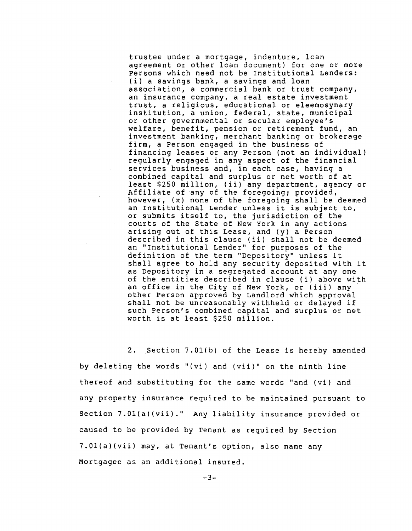trustee under a mortgage, indenture, loan agreement or other loan document) for one or more Persons which need not be Institutional Lenders: (i) a savings bank, a savings and loan association, a commercial bank or trust company, an insurance company, a real estate investment trust, a religious, educational or eleemosynary institution, a union, federal, state, municipal or other governmental or secular employee's welfare, benefit, pension or retirement fund, an investment banking, merchant banking or brokerage firm, a Person engaged in the business of financing leases or any Person (not an individual) regularly engaged in any aspect of the financial services business and, in each case, having a combined capital and surplus or net worth of at least \$250 million, (ii) any department, agency or Affiliate of any of the foregoing; provided, however, (x) none of the foregoing shall be deemed an Institutional Lender unless it is subject to, or submits itself to, the jurisdiction of the courts of the State of New York in any actions arising out of this Lease, and (y) a Person described in this clause (ii) shall not be deemed an "Institutional Lender" for purposes of the definition of the term "Depository" unless it shall agree to hold any security deposited with it as Depository in a segregated account at any one of the entities described in clause (i) above with an office in the City of New York, or (iii) any other Person approved by Landlord which approval shall not be unreasonably withheld or delayed if such Person's combined capital and surplus or net worth is at least \$250 million.

2. Section 7.01(b) of the Lease is hereby amended by deleting the words "(vi) and (vii)" on the ninth line thereof and substituting for the same words "and (vi) and any property insurance required to be maintained pursuant to Section 7.01(a)(vii)." Any liability insurance provided or caused to be provided by Tenant as required by Section 7.01(a)(vii) may, at Tenant's option, also name any Mortgagee as an additional insured.

 $-3-$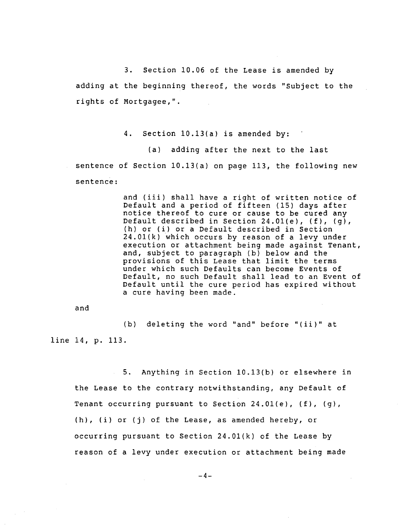3. Section 10.06 of the Lease is amended by adding at the beginning thereof, the words "Subject to the rights of Mortgagee,"

4. Section 10.13(a) is amended by: (a) adding after the next to the last sentence of Section 10.13(a) on page 113, the following new sentence:

> and (iii) shall have a right of written notice of Default and a period of fifteen (15) days after notice thereof to cure or cause to be cured any Default described in Section 24.01(e), (f), (g), (h) or (i) or a Default described in Section 24.01(k) which occurs by reason of a levy under execution or attachment being made against Tenant, and, subject to paragraph (b) below and the provisions of this Lease that limit the terms under which such Defaults can become Events of Default, no such Default shall lead to an Event of Default until the cure period has expired without a cure having been made.

and

(b) deleting the word "and" before "(ii)" at line 14, p. 113.

5. Anything in Section 10.13(b) or elsewhere in the Lease to the contrary notwithstanding, any Default of Tenant occurring pursuant to Section  $24.01(e)$ ,  $(f)$ ,  $(q)$ , (h), (i) or (j) of the Lease, as amended hereby, or occurring pursuant to Section 24.01(k) of the Lease by reason of a levy under execution or attachment being made

 $-4-$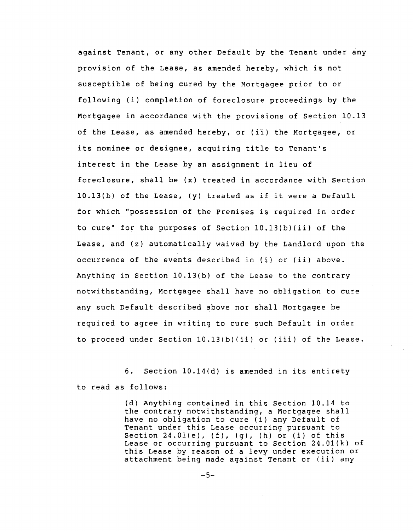against Tenant, or any other Default by the Tenant under any provision of the Lease, as amended hereby, which is not susceptible of being cured by the Mortgagee prior to or following (i) completion of foreclosure proceedings by the Mortgagee in accordance with the provisions of Section 10.13 of the Lease, as amended hereby, or (ii) the Mortgagee, or its nominee or designee, acquiring title to Tenant's interest in the Lease by an assignment in lieu of foreclosure, shall be (x) treated in accordance with Section 10.13(b) of the Lease, (y) treated as if it were a Default for which "possession of the Premises is required in order to cure" for the purposes of Section 10.13(b)(ii) of the Lease, and (z) automatically waived by the Landlord upon the occurrence of the events described in (i) or (ii) above. Anything in Section 10.13(b) of the Lease to the contrary notwithstanding, Mortgagee shall have no obligation to cure any such Default described above nor shall Mortgagee be required to agree in writing to cure such Default in order to proceed under Section 10.13(b)(ii) or (iii) of the Lease.

6. Section 10.14(d) is amended in its entirety to read as follows:

> (d) Anything contained in this Section 10.14 to the contrary notwithstanding, a Mortgagee shall have no obligation to cure (i) any Default of Tenant under this Lease occurring pursuant to Section 24.01(e), (f), (g), (h) or (i) of this Lease or occurring pursuant to Section 24.01(k) of this Lease by reason of a levy under execution or attachment being made against Tenant or (ii) any

> > $-5-$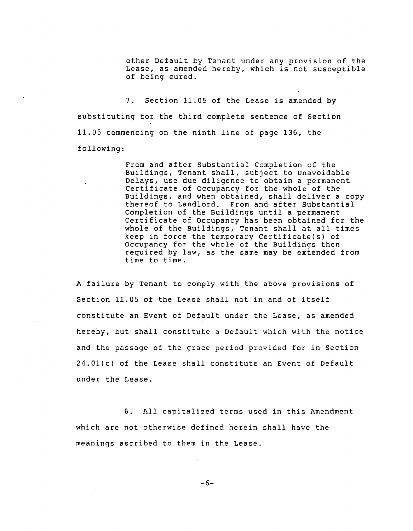other Default by Tenant under any provision of the Lease, as amended hereby, which is not susceptible of being cured.

7. Section 11.05 of the Lease is amended by substituting for the third complete sentence of Section 11.05 commencing on the ninth line of page 136, the following:

> From and after Substantial Completion of the Buildings, Tenant shall, subject to Unavoidable Delays, use due diligence to obtain a permanent Certificate of Occupancy for the whole of the Buildings, and when obtained, shall deliver a copy thereof to Landlord. From and after Substantial Completion of the Buildings until a permanent Certificate of Occupancy has been obtained for the whole of the Buildings, Tenant shall at all times keep in force the temporary Certificate(s) of Occupancy for the whole of the Buildings then required by law, as the same may be extended from time to time.

A failure by Tenant to comply with the above provisions of Section 11.05 of the Lease shall not in and of itself constitute an Event of Default under the Lease, as amended hereby, but shall constitute a Default which with the notice and the passage of the grace period provided for in Section 24.01(c) of the Lease shall constitute an Event of Default under the Lease.

B. All capitalized terms used in this Amendment which are not otherwise defined herein shall have the meanings ascribed to them in the Lease.

 $-6-$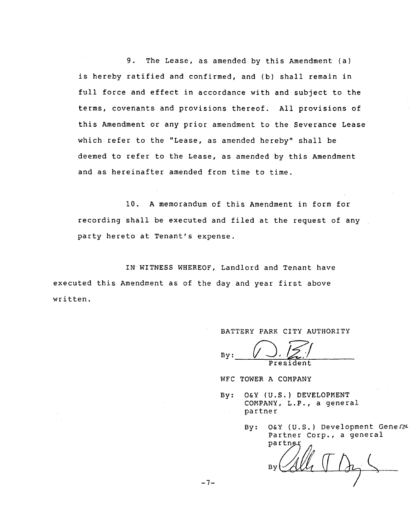9. The Lease, as amended by this Amendment (a) is hereby ratified and confirmed, and (b) shall remain in full force and effect in accordance with and subject to the terms, covenants and provisions thereof. All provisions of this Amendment or any prior amendment to the Severance Lease which refer to the "Lease, as amended hereby" shall be deemed to refer to the Lease, as amended by this Amendment and as hereinafter amended from time to time.

i0. A memorandum of this Amendment in form for recording shall be executed and filed at the request of any party hereto at Tenant's expense.

IN WITNESS WHEREOF, Landlord and Tenant have executed this Amendment as of the day and year first above written.

## BATTERY PARK CITY AUTHORITY

Preside

WFC TOWER A COMPANY

By: O&Y (U.S.) DEVELOPMENT COMPANY, L.P., a general partner

> By: O&Y (U.S.) Development Gene $\mathbb{Z}^{\mathcal{L}}$ Partner Corp., a general<br>partner

 $-7-$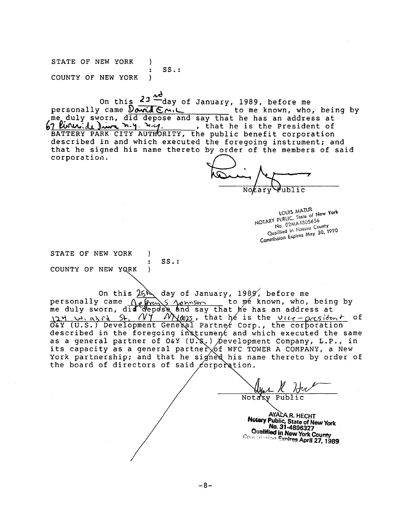STATE OF NEW YORK ) : SS.: COUNTY OF NEW YORK )

On this  $\frac{23}{4}$ day of January, 1989, before me<br>came Donid Emic to me known, who, being by personally came David Emil me duly sworn, did depose and say that he has an address at  $\frac{1}{2}$  lines is the President of **\_\_\_\_\_,** that he is the President of BATTERY PARK CITY AUTHORITY, the public benefit corporation described in and which executed the foregoing instrument; and that he signed his name thereto by order of the members of said corporation.

Notary  $\overline{\text{Fubble}}$ 

LOUIS MAZUR LOUIS MAZUR<br>NOTARY PUBLIC, State of New York<br>No. 02MA48056566 PUBLIC, State of The<br>No. 02MA4805656<br>No. 01 Massau Cou No. 02MA4805650<br>No. 02MA4805650<br>Qualified in Nassau County No. Units Nassau County<br>Qualified in Nassau County<br>Commission Expires May 30, 1990

STATE OF NEW YORK  $\lambda$  $SS.$ :  $\ddot{\cdot}$ COUNTY OF NEW YORK

On this  $25$  day of January, 1989, before me<br>came  $\bigcap_{x \in R} P(x) \leq \bigcap_{x \in R} P(x)$  to me known, who, being by personally came *Qebrus Apress* to me known, who, being by me duly sworn, did depose and say that  $f$  has an address at , that he is the  $\frac{U(c_f - \rho_c c_s) d_{m_f}}{U(c_f - \rho_c c_s) d_{m_f}}$  of (0.s.) Development General Partner Corp., the corporation described in the foregoing instrument and which executed the same as a general partner of O&Y (U.S.)  $\phi$  evelopment Company, L.P., in its capacity as a general partner  $\&$  of WFC TOWER A COMPANY, a New York partnership; and that he signed his name thereto by order of the board of directors of said  $\ell$ orporation.

Notaky **AYALA R. HECHT No**l**ary** I **St**at**e** o**f New** Y**ork** -**4896327** .... Y**orkCounty** '°\_**-**\_\_:\_"\_**;** -',\_**F×**n**lresApr**il **27**, **1989**